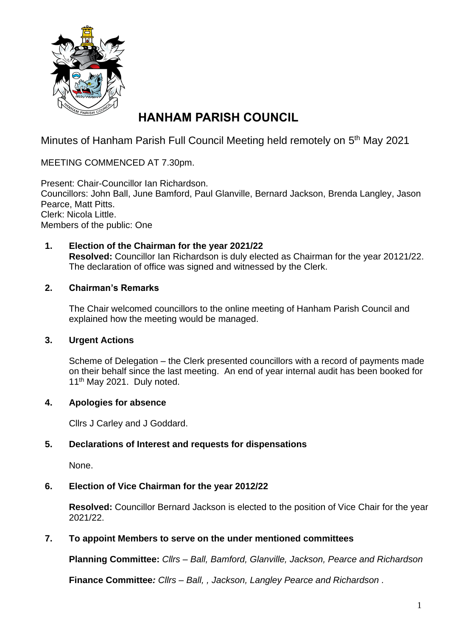

# **HANHAM PARISH COUNCIL**

Minutes of Hanham Parish Full Council Meeting held remotely on 5<sup>th</sup> May 2021

MEETING COMMENCED AT 7.30pm.

Present: Chair-Councillor Ian Richardson. Councillors: John Ball, June Bamford, Paul Glanville, Bernard Jackson, Brenda Langley, Jason Pearce, Matt Pitts. Clerk: Nicola Little. Members of the public: One

**1. Election of the Chairman for the year 2021/22 Resolved:** Councillor Ian Richardson is duly elected as Chairman for the year 20121/22. The declaration of office was signed and witnessed by the Clerk.

# **2. Chairman's Remarks**

The Chair welcomed councillors to the online meeting of Hanham Parish Council and explained how the meeting would be managed.

# **3. Urgent Actions**

Scheme of Delegation – the Clerk presented councillors with a record of payments made on their behalf since the last meeting. An end of year internal audit has been booked for 11<sup>th</sup> May 2021. Duly noted.

# **4. Apologies for absence**

Cllrs J Carley and J Goddard.

# **5. Declarations of Interest and requests for dispensations**

None.

# **6. Election of Vice Chairman for the year 2012/22**

**Resolved:** Councillor Bernard Jackson is elected to the position of Vice Chair for the year 2021/22.

# **7. To appoint Members to serve on the under mentioned committees**

**Planning Committee:** *Cllrs – Ball, Bamford, Glanville, Jackson, Pearce and Richardson*

**Finance Committee***: Cllrs – Ball, , Jackson, Langley Pearce and Richardson .*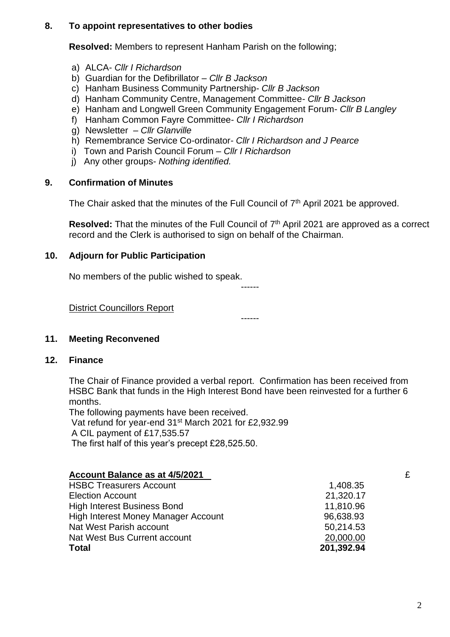#### **8. To appoint representatives to other bodies**

**Resolved:** Members to represent Hanham Parish on the following;

- a) ALCA- *Cllr I Richardson*
- b) Guardian for the Defibrillator *Cllr B Jackson*
- c) Hanham Business Community Partnership- *Cllr B Jackson*
- d) Hanham Community Centre, Management Committee- *Cllr B Jackson*
- e) Hanham and Longwell Green Community Engagement Forum- *Cllr B Langley*
- f) Hanham Common Fayre Committee- *Cllr I Richardson*
- g) Newsletter *Cllr Glanville*
- h) Remembrance Service Co-ordinator*- Cllr I Richardson and J Pearce*
- i) Town and Parish Council Forum *Cllr I Richardson*
- j) Any other groups- *Nothing identified.*

#### **9. Confirmation of Minutes**

The Chair asked that the minutes of the Full Council of 7<sup>th</sup> April 2021 be approved.

Resolved: That the minutes of the Full Council of 7<sup>th</sup> April 2021 are approved as a correct record and the Clerk is authorised to sign on behalf of the Chairman.

#### **10. Adjourn for Public Participation**

No members of the public wished to speak.

#### District Councillors Report

------

------

# **11. Meeting Reconvened**

#### **12. Finance**

The Chair of Finance provided a verbal report. Confirmation has been received from HSBC Bank that funds in the High Interest Bond have been reinvested for a further 6 months.

The following payments have been received. Vat refund for year-end 31st March 2021 for £2,932.99 A CIL payment of £17,535.57 The first half of this year's precept £28,525.50.

| Account Balance as at 4/5/2021      |            | £ |
|-------------------------------------|------------|---|
| <b>HSBC Treasurers Account</b>      | 1,408.35   |   |
| <b>Election Account</b>             | 21,320.17  |   |
| <b>High Interest Business Bond</b>  | 11,810.96  |   |
| High Interest Money Manager Account | 96,638.93  |   |
| Nat West Parish account             | 50,214.53  |   |
| Nat West Bus Current account        | 20,000.00  |   |
| <b>Total</b>                        | 201,392.94 |   |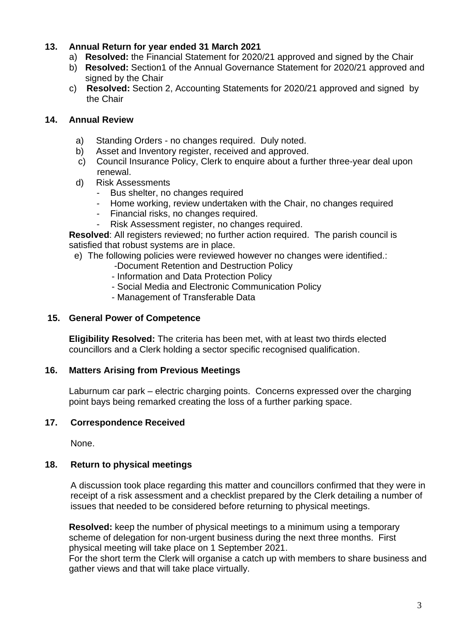# **13. Annual Return for year ended 31 March 2021**

- a) **Resolved:** the Financial Statement for 2020/21 approved and signed by the Chair
- b) **Resolved:** Section1 of the Annual Governance Statement for 2020/21 approved and signed by the Chair
- c) **Resolved:** Section 2, Accounting Statements for 2020/21 approved and signed by the Chair

#### **14. Annual Review**

- a) Standing Orders no changes required. Duly noted.
- b) Asset and Inventory register, received and approved.
- c) Council Insurance Policy, Clerk to enquire about a further three-year deal upon renewal.
- d) Risk Assessments
	- Bus shelter, no changes required
	- Home working, review undertaken with the Chair, no changes required
	- Financial risks, no changes required.
	- Risk Assessment register, no changes required.

**Resolved**: All registers reviewed; no further action required. The parish council is satisfied that robust systems are in place.

- e) The following policies were reviewed however no changes were identified.:
	- -Document Retention and Destruction Policy
	- Information and Data Protection Policy
	- Social Media and Electronic Communication Policy
	- Management of Transferable Data

## **15. General Power of Competence**

**Eligibility Resolved:** The criteria has been met, with at least two thirds elected councillors and a Clerk holding a sector specific recognised qualification.

#### **16. Matters Arising from Previous Meetings**

Laburnum car park – electric charging points. Concerns expressed over the charging point bays being remarked creating the loss of a further parking space.

#### **17. Correspondence Received**

None.

#### **18. Return to physical meetings**

A discussion took place regarding this matter and councillors confirmed that they were in receipt of a risk assessment and a checklist prepared by the Clerk detailing a number of issues that needed to be considered before returning to physical meetings.

**Resolved:** keep the number of physical meetings to a minimum using a temporary scheme of delegation for non-urgent business during the next three months. First physical meeting will take place on 1 September 2021.

For the short term the Clerk will organise a catch up with members to share business and gather views and that will take place virtually.